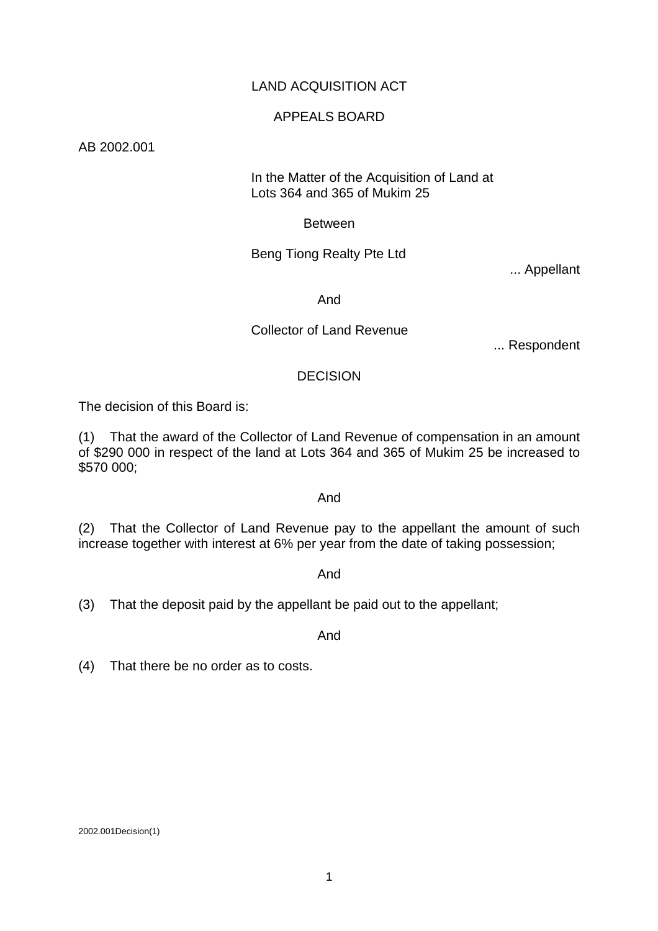### LAND ACQUISITION ACT

### APPEALS BOARD

AB 2002.001

#### In the Matter of the Acquisition of Land at Lots 364 and 365 of Mukim 25

Between

### Beng Tiong Realty Pte Ltd

... Appellant

And

### Collector of Land Revenue

... Respondent

### **DECISION**

The decision of this Board is:

(1) That the award of the Collector of Land Revenue of compensation in an amount of \$290 000 in respect of the land at Lots 364 and 365 of Mukim 25 be increased to \$570 000;

#### And

(2) That the Collector of Land Revenue pay to the appellant the amount of such increase together with interest at 6% per year from the date of taking possession;

#### And

(3) That the deposit paid by the appellant be paid out to the appellant;

And

(4) That there be no order as to costs.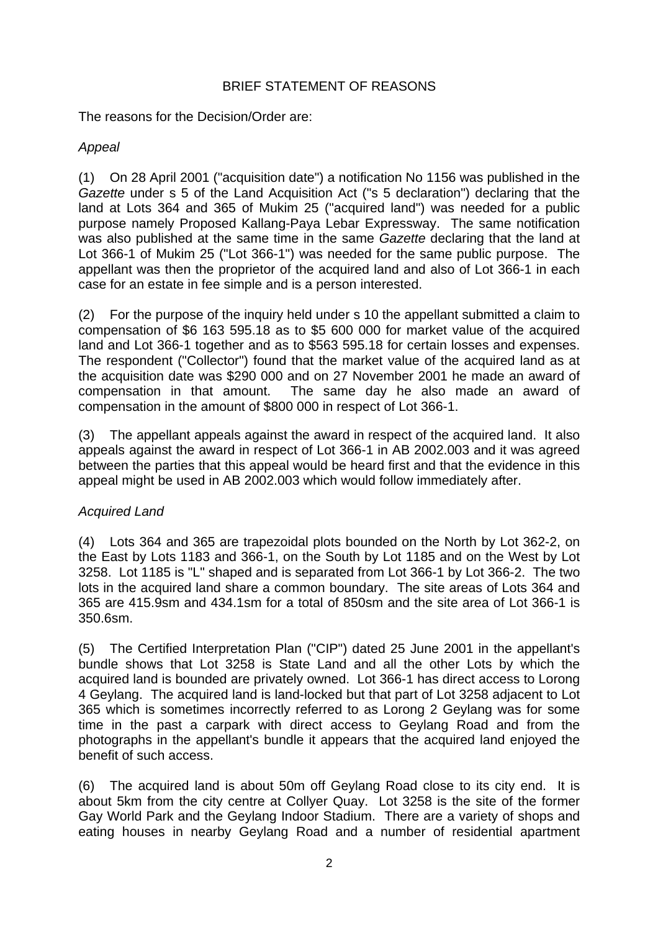## BRIEF STATEMENT OF REASONS

The reasons for the Decision/Order are:

# *Appeal*

(1) On 28 April 2001 ("acquisition date") a notification No 1156 was published in the *Gazette* under s 5 of the Land Acquisition Act ("s 5 declaration") declaring that the land at Lots 364 and 365 of Mukim 25 ("acquired land") was needed for a public purpose namely Proposed Kallang-Paya Lebar Expressway. The same notification was also published at the same time in the same *Gazette* declaring that the land at Lot 366-1 of Mukim 25 ("Lot 366-1") was needed for the same public purpose. The appellant was then the proprietor of the acquired land and also of Lot 366-1 in each case for an estate in fee simple and is a person interested.

(2) For the purpose of the inquiry held under s 10 the appellant submitted a claim to compensation of \$6 163 595.18 as to \$5 600 000 for market value of the acquired land and Lot 366-1 together and as to \$563 595.18 for certain losses and expenses. The respondent ("Collector") found that the market value of the acquired land as at the acquisition date was \$290 000 and on 27 November 2001 he made an award of compensation in that amount. The same day he also made an award of compensation in the amount of \$800 000 in respect of Lot 366-1.

(3) The appellant appeals against the award in respect of the acquired land. It also appeals against the award in respect of Lot 366-1 in AB 2002.003 and it was agreed between the parties that this appeal would be heard first and that the evidence in this appeal might be used in AB 2002.003 which would follow immediately after.

# *Acquired Land*

(4) Lots 364 and 365 are trapezoidal plots bounded on the North by Lot 362-2, on the East by Lots 1183 and 366-1, on the South by Lot 1185 and on the West by Lot 3258. Lot 1185 is "L" shaped and is separated from Lot 366-1 by Lot 366-2. The two lots in the acquired land share a common boundary. The site areas of Lots 364 and 365 are 415.9sm and 434.1sm for a total of 850sm and the site area of Lot 366-1 is 350.6sm.

(5) The Certified Interpretation Plan ("CIP") dated 25 June 2001 in the appellant's bundle shows that Lot 3258 is State Land and all the other Lots by which the acquired land is bounded are privately owned. Lot 366-1 has direct access to Lorong 4 Geylang. The acquired land is land-locked but that part of Lot 3258 adjacent to Lot 365 which is sometimes incorrectly referred to as Lorong 2 Geylang was for some time in the past a carpark with direct access to Geylang Road and from the photographs in the appellant's bundle it appears that the acquired land enjoyed the benefit of such access.

(6) The acquired land is about 50m off Geylang Road close to its city end. It is about 5km from the city centre at Collyer Quay. Lot 3258 is the site of the former Gay World Park and the Geylang Indoor Stadium. There are a variety of shops and eating houses in nearby Geylang Road and a number of residential apartment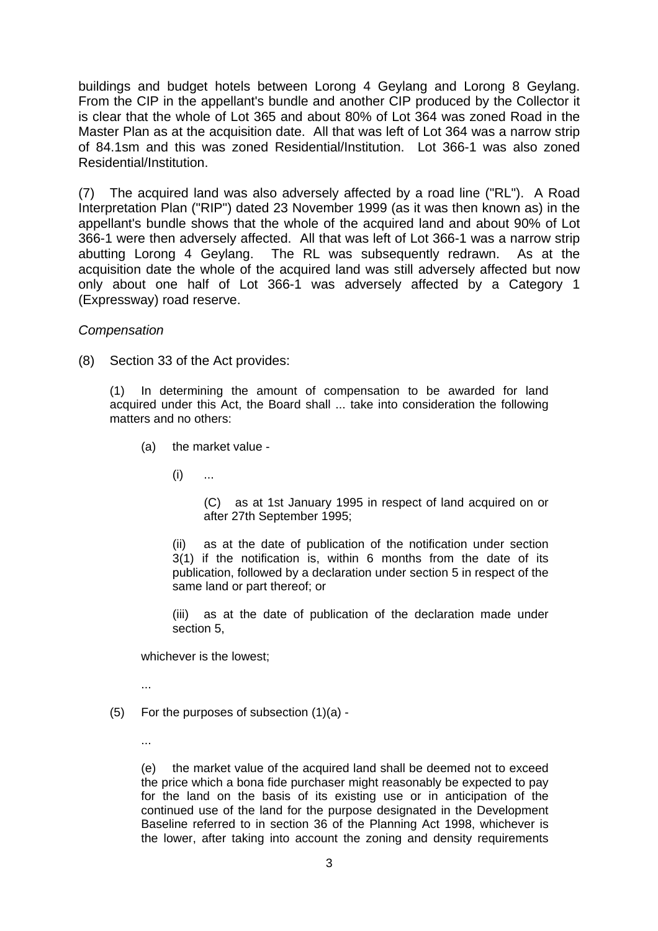buildings and budget hotels between Lorong 4 Geylang and Lorong 8 Geylang. From the CIP in the appellant's bundle and another CIP produced by the Collector it is clear that the whole of Lot 365 and about 80% of Lot 364 was zoned Road in the Master Plan as at the acquisition date. All that was left of Lot 364 was a narrow strip of 84.1sm and this was zoned Residential/Institution. Lot 366-1 was also zoned Residential/Institution.

(7) The acquired land was also adversely affected by a road line ("RL"). A Road Interpretation Plan ("RIP") dated 23 November 1999 (as it was then known as) in the appellant's bundle shows that the whole of the acquired land and about 90% of Lot 366-1 were then adversely affected. All that was left of Lot 366-1 was a narrow strip abutting Lorong 4 Geylang. The RL was subsequently redrawn. As at the acquisition date the whole of the acquired land was still adversely affected but now only about one half of Lot 366-1 was adversely affected by a Category 1 (Expressway) road reserve.

#### *Compensation*

(8) Section 33 of the Act provides:

(1) In determining the amount of compensation to be awarded for land acquired under this Act, the Board shall ... take into consideration the following matters and no others:

- (a) the market value
	- $(i)$  ...

(C) as at 1st January 1995 in respect of land acquired on or after 27th September 1995;

(ii) as at the date of publication of the notification under section 3(1) if the notification is, within 6 months from the date of its publication, followed by a declaration under section 5 in respect of the same land or part thereof; or

(iii) as at the date of publication of the declaration made under section 5,

whichever is the lowest;

- ...
- (5) For the purposes of subsection (1)(a)
	- ...

(e) the market value of the acquired land shall be deemed not to exceed the price which a bona fide purchaser might reasonably be expected to pay for the land on the basis of its existing use or in anticipation of the continued use of the land for the purpose designated in the Development Baseline referred to in section 36 of the Planning Act 1998, whichever is the lower, after taking into account the zoning and density requirements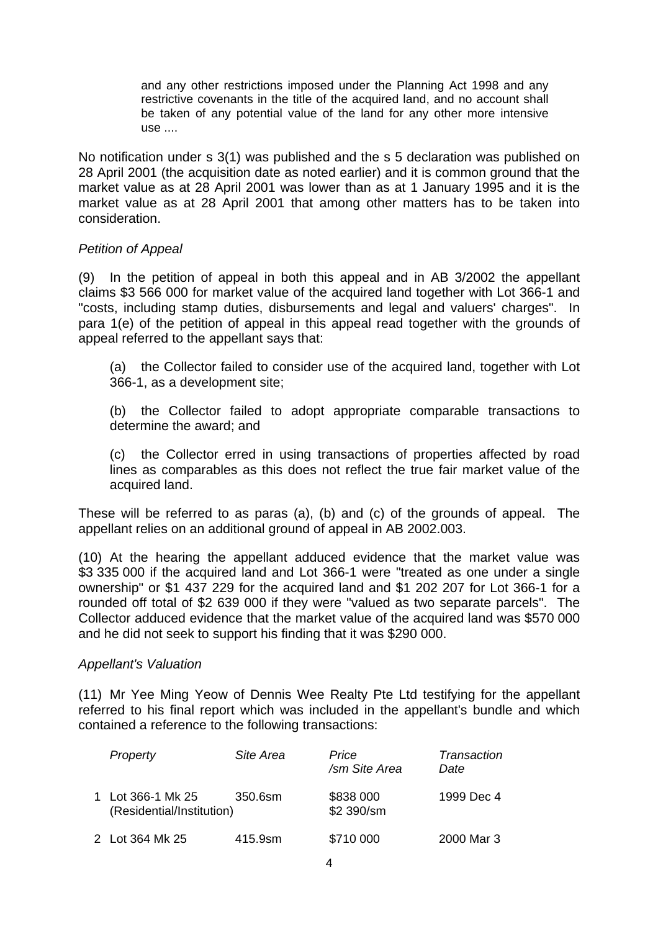and any other restrictions imposed under the Planning Act 1998 and any restrictive covenants in the title of the acquired land, and no account shall be taken of any potential value of the land for any other more intensive use ....

No notification under s 3(1) was published and the s 5 declaration was published on 28 April 2001 (the acquisition date as noted earlier) and it is common ground that the market value as at 28 April 2001 was lower than as at 1 January 1995 and it is the market value as at 28 April 2001 that among other matters has to be taken into consideration.

### *Petition of Appeal*

(9) In the petition of appeal in both this appeal and in AB 3/2002 the appellant claims \$3 566 000 for market value of the acquired land together with Lot 366-1 and "costs, including stamp duties, disbursements and legal and valuers' charges". In para 1(e) of the petition of appeal in this appeal read together with the grounds of appeal referred to the appellant says that:

 (a) the Collector failed to consider use of the acquired land, together with Lot 366-1, as a development site;

 (b) the Collector failed to adopt appropriate comparable transactions to determine the award; and

 (c) the Collector erred in using transactions of properties affected by road lines as comparables as this does not reflect the true fair market value of the acquired land.

These will be referred to as paras (a), (b) and (c) of the grounds of appeal. The appellant relies on an additional ground of appeal in AB 2002.003.

(10) At the hearing the appellant adduced evidence that the market value was \$3 335 000 if the acquired land and Lot 366-1 were "treated as one under a single ownership" or \$1 437 229 for the acquired land and \$1 202 207 for Lot 366-1 for a rounded off total of \$2 639 000 if they were "valued as two separate parcels". The Collector adduced evidence that the market value of the acquired land was \$570 000 and he did not seek to support his finding that it was \$290 000.

#### *Appellant's Valuation*

(11) Mr Yee Ming Yeow of Dennis Wee Realty Pte Ltd testifying for the appellant referred to his final report which was included in the appellant's bundle and which contained a reference to the following transactions:

| Property                                       | Site Area | Price<br>/sm Site Area  | Transaction<br>Date |
|------------------------------------------------|-----------|-------------------------|---------------------|
| 1 Lot 366-1 Mk 25<br>(Residential/Institution) | 350.6sm   | \$838 000<br>\$2 390/sm | 1999 Dec 4          |
| 2 Lot 364 Mk 25                                | 415.9sm   | \$710 000               | 2000 Mar 3          |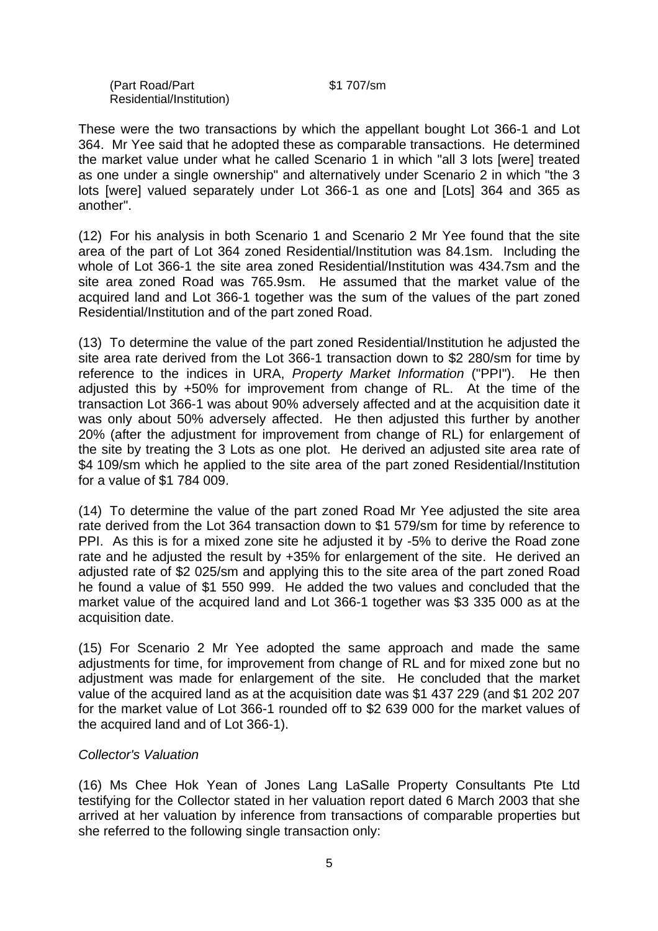(Part Road/Part \$1 707/sm Residential/Institution)

These were the two transactions by which the appellant bought Lot 366-1 and Lot 364. Mr Yee said that he adopted these as comparable transactions. He determined the market value under what he called Scenario 1 in which "all 3 lots [were] treated as one under a single ownership" and alternatively under Scenario 2 in which "the 3 lots [were] valued separately under Lot 366-1 as one and [Lots] 364 and 365 as another".

(12) For his analysis in both Scenario 1 and Scenario 2 Mr Yee found that the site area of the part of Lot 364 zoned Residential/Institution was 84.1sm. Including the whole of Lot 366-1 the site area zoned Residential/Institution was 434.7sm and the site area zoned Road was 765.9sm. He assumed that the market value of the acquired land and Lot 366-1 together was the sum of the values of the part zoned Residential/Institution and of the part zoned Road.

(13) To determine the value of the part zoned Residential/Institution he adjusted the site area rate derived from the Lot 366-1 transaction down to \$2 280/sm for time by reference to the indices in URA, *Property Market Information* ("PPI"). He then adjusted this by +50% for improvement from change of RL. At the time of the transaction Lot 366-1 was about 90% adversely affected and at the acquisition date it was only about 50% adversely affected. He then adjusted this further by another 20% (after the adjustment for improvement from change of RL) for enlargement of the site by treating the 3 Lots as one plot. He derived an adjusted site area rate of \$4 109/sm which he applied to the site area of the part zoned Residential/Institution for a value of \$1 784 009.

(14) To determine the value of the part zoned Road Mr Yee adjusted the site area rate derived from the Lot 364 transaction down to \$1 579/sm for time by reference to PPI. As this is for a mixed zone site he adjusted it by -5% to derive the Road zone rate and he adjusted the result by +35% for enlargement of the site. He derived an adjusted rate of \$2 025/sm and applying this to the site area of the part zoned Road he found a value of \$1 550 999. He added the two values and concluded that the market value of the acquired land and Lot 366-1 together was \$3 335 000 as at the acquisition date.

(15) For Scenario 2 Mr Yee adopted the same approach and made the same adjustments for time, for improvement from change of RL and for mixed zone but no adjustment was made for enlargement of the site. He concluded that the market value of the acquired land as at the acquisition date was \$1 437 229 (and \$1 202 207 for the market value of Lot 366-1 rounded off to \$2 639 000 for the market values of the acquired land and of Lot 366-1).

### *Collector's Valuation*

(16) Ms Chee Hok Yean of Jones Lang LaSalle Property Consultants Pte Ltd testifying for the Collector stated in her valuation report dated 6 March 2003 that she arrived at her valuation by inference from transactions of comparable properties but she referred to the following single transaction only: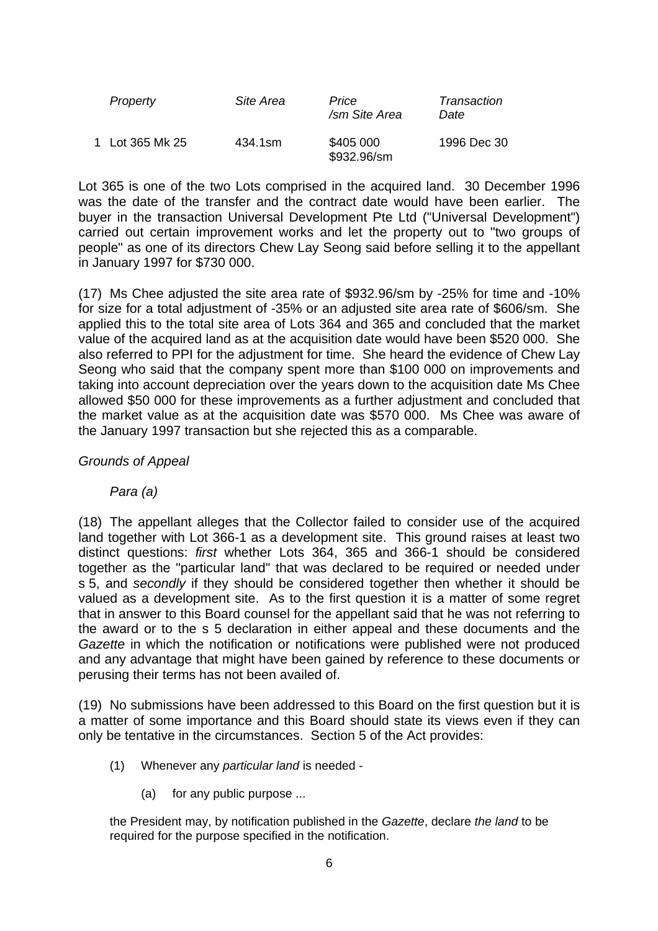| Property        | Site Area | Price<br>/sm Site Area   | Transaction<br>Date |
|-----------------|-----------|--------------------------|---------------------|
| 1 Lot 365 Mk 25 | 434.1sm   | \$405 000<br>\$932.96/sm | 1996 Dec 30         |

Lot 365 is one of the two Lots comprised in the acquired land. 30 December 1996 was the date of the transfer and the contract date would have been earlier. The buyer in the transaction Universal Development Pte Ltd ("Universal Development") carried out certain improvement works and let the property out to "two groups of people" as one of its directors Chew Lay Seong said before selling it to the appellant in January 1997 for \$730 000.

(17) Ms Chee adjusted the site area rate of \$932.96/sm by -25% for time and -10% for size for a total adjustment of -35% or an adjusted site area rate of \$606/sm. She applied this to the total site area of Lots 364 and 365 and concluded that the market value of the acquired land as at the acquisition date would have been \$520 000. She also referred to PPI for the adjustment for time. She heard the evidence of Chew Lay Seong who said that the company spent more than \$100 000 on improvements and taking into account depreciation over the years down to the acquisition date Ms Chee allowed \$50 000 for these improvements as a further adjustment and concluded that the market value as at the acquisition date was \$570 000. Ms Chee was aware of the January 1997 transaction but she rejected this as a comparable.

### *Grounds of Appeal*

 *Para (a)*

(18) The appellant alleges that the Collector failed to consider use of the acquired land together with Lot 366-1 as a development site. This ground raises at least two distinct questions: *first* whether Lots 364, 365 and 366-1 should be considered together as the "particular land" that was declared to be required or needed under s 5, and *secondly* if they should be considered together then whether it should be valued as a development site. As to the first question it is a matter of some regret that in answer to this Board counsel for the appellant said that he was not referring to the award or to the s 5 declaration in either appeal and these documents and the *Gazette* in which the notification or notifications were published were not produced and any advantage that might have been gained by reference to these documents or perusing their terms has not been availed of.

(19) No submissions have been addressed to this Board on the first question but it is a matter of some importance and this Board should state its views even if they can only be tentative in the circumstances. Section 5 of the Act provides:

- (1) Whenever any *particular land* is needed
	- (a) for any public purpose ...

the President may, by notification published in the *Gazette*, declare *the land* to be required for the purpose specified in the notification.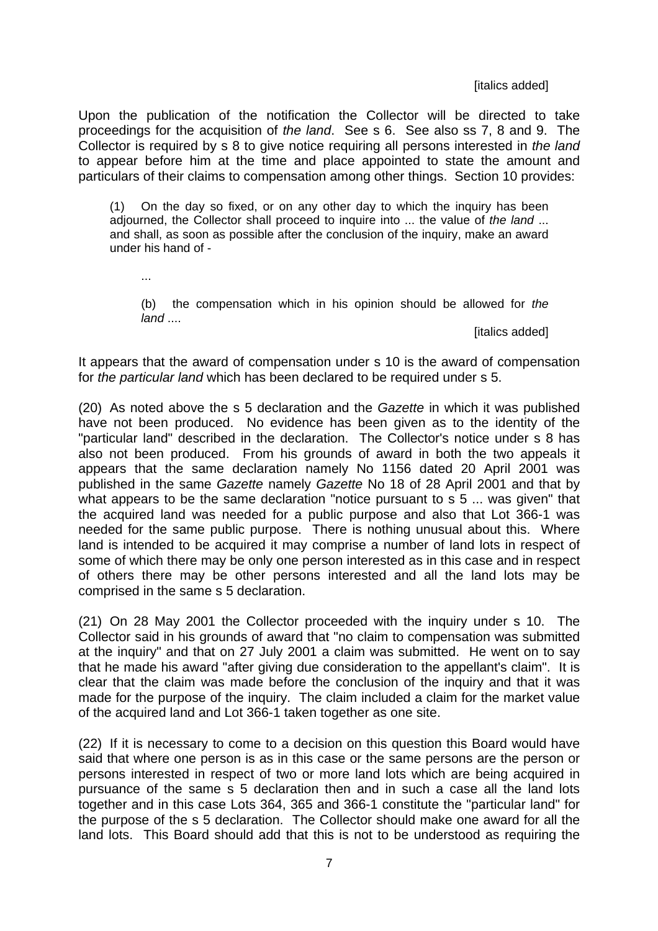#### [italics added]

Upon the publication of the notification the Collector will be directed to take proceedings for the acquisition of *the land*. See s 6. See also ss 7, 8 and 9. The Collector is required by s 8 to give notice requiring all persons interested in *the land* to appear before him at the time and place appointed to state the amount and particulars of their claims to compensation among other things. Section 10 provides:

(1) On the day so fixed, or on any other day to which the inquiry has been adjourned, the Collector shall proceed to inquire into ... the value of *the land* ... and shall, as soon as possible after the conclusion of the inquiry, make an award under his hand of -

...

 (b) the compensation which in his opinion should be allowed for *the land* ....

[italics added]

It appears that the award of compensation under s 10 is the award of compensation for *the particular land* which has been declared to be required under s 5.

(20) As noted above the s 5 declaration and the *Gazette* in which it was published have not been produced. No evidence has been given as to the identity of the "particular land" described in the declaration. The Collector's notice under s 8 has also not been produced. From his grounds of award in both the two appeals it appears that the same declaration namely No 1156 dated 20 April 2001 was published in the same *Gazette* namely *Gazette* No 18 of 28 April 2001 and that by what appears to be the same declaration "notice pursuant to s 5 ... was given" that the acquired land was needed for a public purpose and also that Lot 366-1 was needed for the same public purpose. There is nothing unusual about this. Where land is intended to be acquired it may comprise a number of land lots in respect of some of which there may be only one person interested as in this case and in respect of others there may be other persons interested and all the land lots may be comprised in the same s 5 declaration.

(21) On 28 May 2001 the Collector proceeded with the inquiry under s 10. The Collector said in his grounds of award that "no claim to compensation was submitted at the inquiry" and that on 27 July 2001 a claim was submitted. He went on to say that he made his award "after giving due consideration to the appellant's claim". It is clear that the claim was made before the conclusion of the inquiry and that it was made for the purpose of the inquiry. The claim included a claim for the market value of the acquired land and Lot 366-1 taken together as one site.

(22) If it is necessary to come to a decision on this question this Board would have said that where one person is as in this case or the same persons are the person or persons interested in respect of two or more land lots which are being acquired in pursuance of the same s 5 declaration then and in such a case all the land lots together and in this case Lots 364, 365 and 366-1 constitute the "particular land" for the purpose of the s 5 declaration. The Collector should make one award for all the land lots. This Board should add that this is not to be understood as requiring the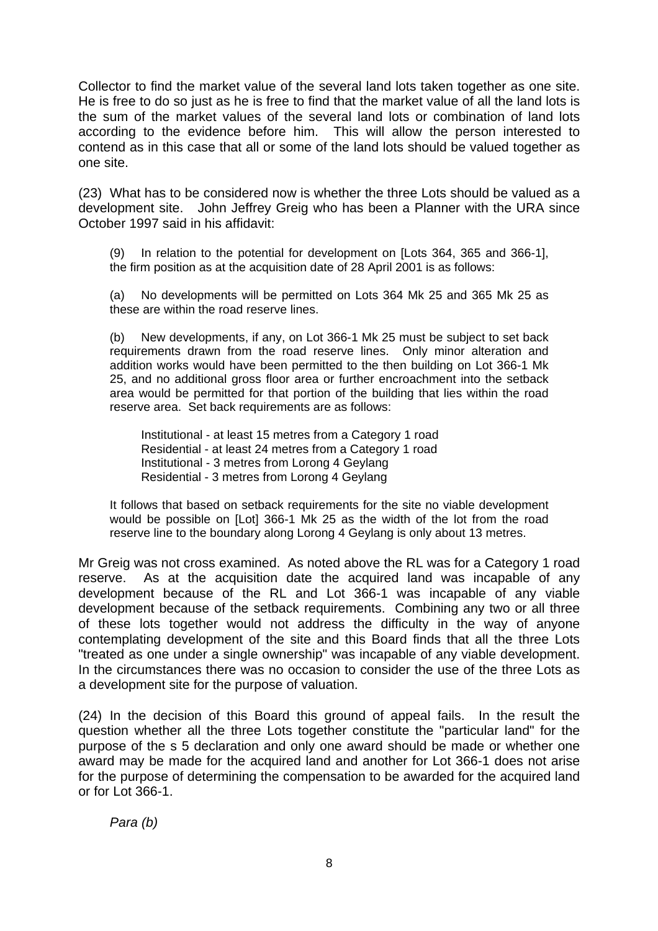Collector to find the market value of the several land lots taken together as one site. He is free to do so just as he is free to find that the market value of all the land lots is the sum of the market values of the several land lots or combination of land lots according to the evidence before him. This will allow the person interested to contend as in this case that all or some of the land lots should be valued together as one site.

(23) What has to be considered now is whether the three Lots should be valued as a development site. John Jeffrey Greig who has been a Planner with the URA since October 1997 said in his affidavit:

(9) In relation to the potential for development on [Lots 364, 365 and 366-1], the firm position as at the acquisition date of 28 April 2001 is as follows:

(a) No developments will be permitted on Lots 364 Mk 25 and 365 Mk 25 as these are within the road reserve lines.

(b) New developments, if any, on Lot 366-1 Mk 25 must be subject to set back requirements drawn from the road reserve lines. Only minor alteration and addition works would have been permitted to the then building on Lot 366-1 Mk 25, and no additional gross floor area or further encroachment into the setback area would be permitted for that portion of the building that lies within the road reserve area. Set back requirements are as follows:

 Institutional - at least 15 metres from a Category 1 road Residential - at least 24 metres from a Category 1 road Institutional - 3 metres from Lorong 4 Geylang Residential - 3 metres from Lorong 4 Geylang

It follows that based on setback requirements for the site no viable development would be possible on [Lot] 366-1 Mk 25 as the width of the lot from the road reserve line to the boundary along Lorong 4 Geylang is only about 13 metres.

Mr Greig was not cross examined. As noted above the RL was for a Category 1 road reserve. As at the acquisition date the acquired land was incapable of any development because of the RL and Lot 366-1 was incapable of any viable development because of the setback requirements. Combining any two or all three of these lots together would not address the difficulty in the way of anyone contemplating development of the site and this Board finds that all the three Lots "treated as one under a single ownership" was incapable of any viable development. In the circumstances there was no occasion to consider the use of the three Lots as a development site for the purpose of valuation.

(24) In the decision of this Board this ground of appeal fails. In the result the question whether all the three Lots together constitute the "particular land" for the purpose of the s 5 declaration and only one award should be made or whether one award may be made for the acquired land and another for Lot 366-1 does not arise for the purpose of determining the compensation to be awarded for the acquired land or for Lot 366-1.

*Para (b)*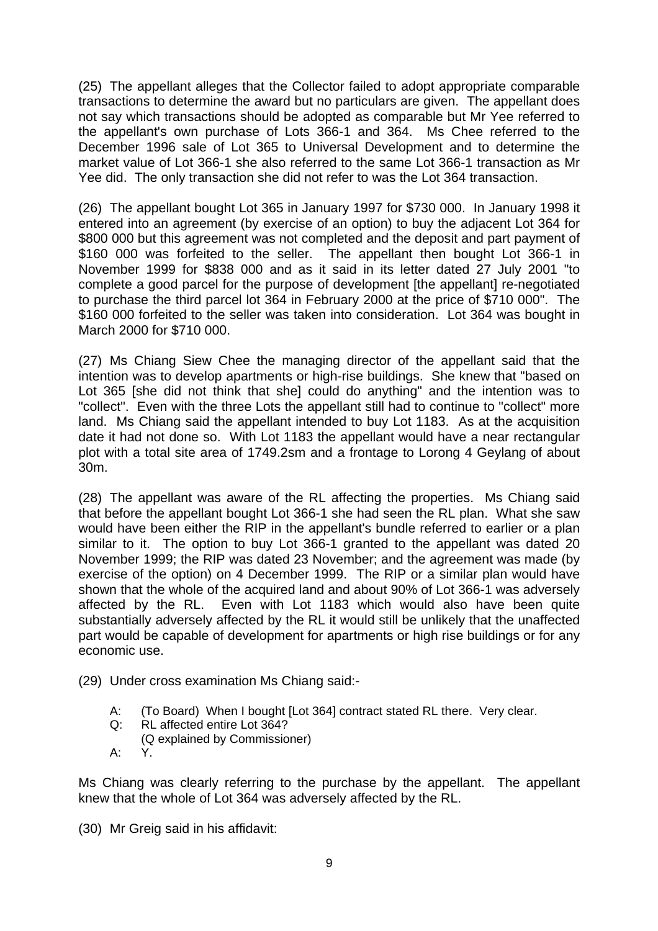(25) The appellant alleges that the Collector failed to adopt appropriate comparable transactions to determine the award but no particulars are given. The appellant does not say which transactions should be adopted as comparable but Mr Yee referred to the appellant's own purchase of Lots 366-1 and 364. Ms Chee referred to the December 1996 sale of Lot 365 to Universal Development and to determine the market value of Lot 366-1 she also referred to the same Lot 366-1 transaction as Mr Yee did. The only transaction she did not refer to was the Lot 364 transaction.

(26) The appellant bought Lot 365 in January 1997 for \$730 000. In January 1998 it entered into an agreement (by exercise of an option) to buy the adjacent Lot 364 for \$800,000 but this agreement was not completed and the deposit and part payment of \$160 000 was forfeited to the seller. The appellant then bought Lot 366-1 in November 1999 for \$838 000 and as it said in its letter dated 27 July 2001 "to complete a good parcel for the purpose of development [the appellant] re-negotiated to purchase the third parcel lot 364 in February 2000 at the price of \$710 000". The \$160 000 forfeited to the seller was taken into consideration. Lot 364 was bought in March 2000 for \$710 000.

(27) Ms Chiang Siew Chee the managing director of the appellant said that the intention was to develop apartments or high-rise buildings. She knew that "based on Lot 365 [she did not think that she] could do anything" and the intention was to "collect". Even with the three Lots the appellant still had to continue to "collect" more land. Ms Chiang said the appellant intended to buy Lot 1183. As at the acquisition date it had not done so. With Lot 1183 the appellant would have a near rectangular plot with a total site area of 1749.2sm and a frontage to Lorong 4 Geylang of about 30m.

(28) The appellant was aware of the RL affecting the properties. Ms Chiang said that before the appellant bought Lot 366-1 she had seen the RL plan. What she saw would have been either the RIP in the appellant's bundle referred to earlier or a plan similar to it. The option to buy Lot 366-1 granted to the appellant was dated 20 November 1999; the RIP was dated 23 November; and the agreement was made (by exercise of the option) on 4 December 1999. The RIP or a similar plan would have shown that the whole of the acquired land and about 90% of Lot 366-1 was adversely affected by the RL. Even with Lot 1183 which would also have been quite substantially adversely affected by the RL it would still be unlikely that the unaffected part would be capable of development for apartments or high rise buildings or for any economic use.

- (29) Under cross examination Ms Chiang said:-
	- A: (To Board) When I bought [Lot 364] contract stated RL there. Very clear.
	- Q: RL affected entire Lot 364?
	- (Q explained by Commissioner)
	- A: Y.

Ms Chiang was clearly referring to the purchase by the appellant. The appellant knew that the whole of Lot 364 was adversely affected by the RL.

(30) Mr Greig said in his affidavit: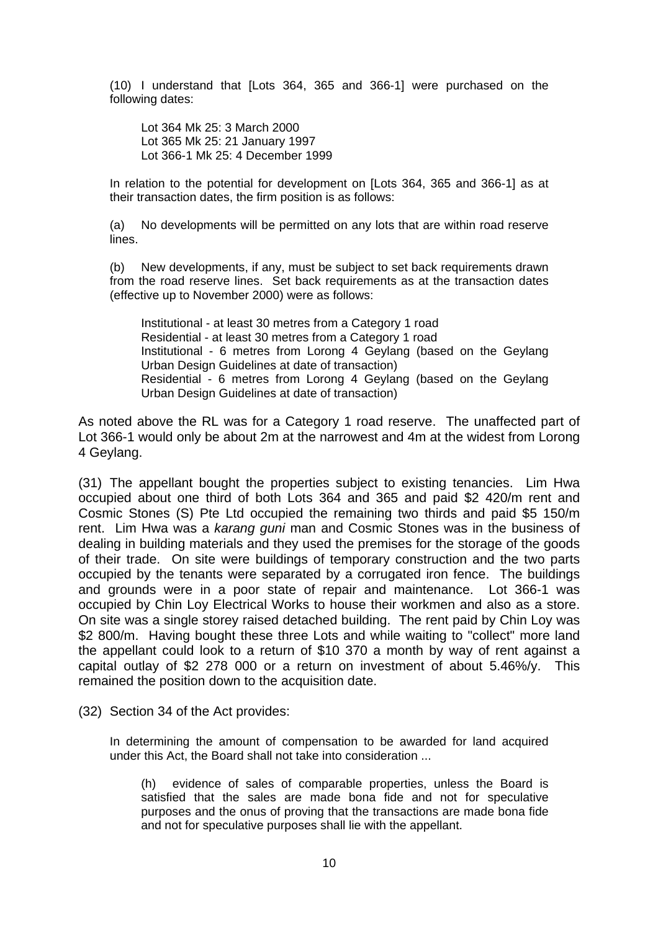(10) I understand that [Lots 364, 365 and 366-1] were purchased on the following dates:

 Lot 364 Mk 25: 3 March 2000 Lot 365 Mk 25: 21 January 1997 Lot 366-1 Mk 25: 4 December 1999

In relation to the potential for development on [Lots 364, 365 and 366-1] as at their transaction dates, the firm position is as follows:

(a) No developments will be permitted on any lots that are within road reserve lines.

(b) New developments, if any, must be subject to set back requirements drawn from the road reserve lines. Set back requirements as at the transaction dates (effective up to November 2000) were as follows:

 Institutional - at least 30 metres from a Category 1 road Residential - at least 30 metres from a Category 1 road Institutional - 6 metres from Lorong 4 Geylang (based on the Geylang Urban Design Guidelines at date of transaction) Residential - 6 metres from Lorong 4 Geylang (based on the Geylang Urban Design Guidelines at date of transaction)

As noted above the RL was for a Category 1 road reserve. The unaffected part of Lot 366-1 would only be about 2m at the narrowest and 4m at the widest from Lorong 4 Geylang.

(31) The appellant bought the properties subject to existing tenancies. Lim Hwa occupied about one third of both Lots 364 and 365 and paid \$2 420/m rent and Cosmic Stones (S) Pte Ltd occupied the remaining two thirds and paid \$5 150/m rent. Lim Hwa was a *karang guni* man and Cosmic Stones was in the business of dealing in building materials and they used the premises for the storage of the goods of their trade. On site were buildings of temporary construction and the two parts occupied by the tenants were separated by a corrugated iron fence. The buildings and grounds were in a poor state of repair and maintenance. Lot 366-1 was occupied by Chin Loy Electrical Works to house their workmen and also as a store. On site was a single storey raised detached building. The rent paid by Chin Loy was \$2 800/m. Having bought these three Lots and while waiting to "collect" more land the appellant could look to a return of \$10 370 a month by way of rent against a capital outlay of \$2 278 000 or a return on investment of about 5.46%/y. This remained the position down to the acquisition date.

(32) Section 34 of the Act provides:

In determining the amount of compensation to be awarded for land acquired under this Act, the Board shall not take into consideration ...

 (h) evidence of sales of comparable properties, unless the Board is satisfied that the sales are made bona fide and not for speculative purposes and the onus of proving that the transactions are made bona fide and not for speculative purposes shall lie with the appellant.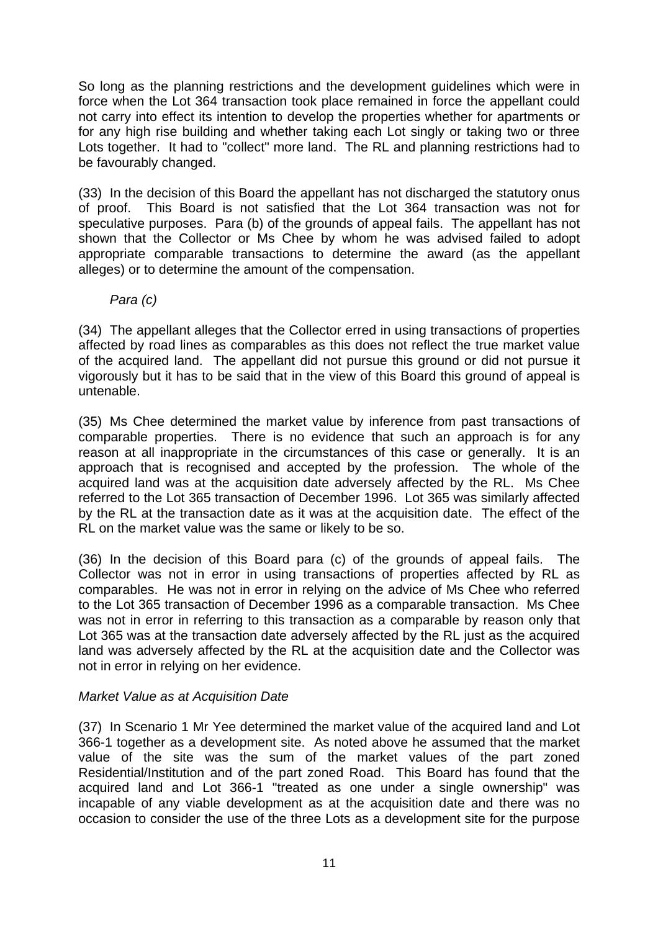So long as the planning restrictions and the development guidelines which were in force when the Lot 364 transaction took place remained in force the appellant could not carry into effect its intention to develop the properties whether for apartments or for any high rise building and whether taking each Lot singly or taking two or three Lots together. It had to "collect" more land. The RL and planning restrictions had to be favourably changed.

(33) In the decision of this Board the appellant has not discharged the statutory onus of proof. This Board is not satisfied that the Lot 364 transaction was not for speculative purposes. Para (b) of the grounds of appeal fails. The appellant has not shown that the Collector or Ms Chee by whom he was advised failed to adopt appropriate comparable transactions to determine the award (as the appellant alleges) or to determine the amount of the compensation.

## *Para (c)*

(34) The appellant alleges that the Collector erred in using transactions of properties affected by road lines as comparables as this does not reflect the true market value of the acquired land. The appellant did not pursue this ground or did not pursue it vigorously but it has to be said that in the view of this Board this ground of appeal is untenable.

(35) Ms Chee determined the market value by inference from past transactions of comparable properties. There is no evidence that such an approach is for any reason at all inappropriate in the circumstances of this case or generally. It is an approach that is recognised and accepted by the profession. The whole of the acquired land was at the acquisition date adversely affected by the RL. Ms Chee referred to the Lot 365 transaction of December 1996. Lot 365 was similarly affected by the RL at the transaction date as it was at the acquisition date. The effect of the RL on the market value was the same or likely to be so.

(36) In the decision of this Board para (c) of the grounds of appeal fails. The Collector was not in error in using transactions of properties affected by RL as comparables. He was not in error in relying on the advice of Ms Chee who referred to the Lot 365 transaction of December 1996 as a comparable transaction. Ms Chee was not in error in referring to this transaction as a comparable by reason only that Lot 365 was at the transaction date adversely affected by the RL just as the acquired land was adversely affected by the RL at the acquisition date and the Collector was not in error in relying on her evidence.

# *Market Value as at Acquisition Date*

(37) In Scenario 1 Mr Yee determined the market value of the acquired land and Lot 366-1 together as a development site. As noted above he assumed that the market value of the site was the sum of the market values of the part zoned Residential/Institution and of the part zoned Road. This Board has found that the acquired land and Lot 366-1 "treated as one under a single ownership" was incapable of any viable development as at the acquisition date and there was no occasion to consider the use of the three Lots as a development site for the purpose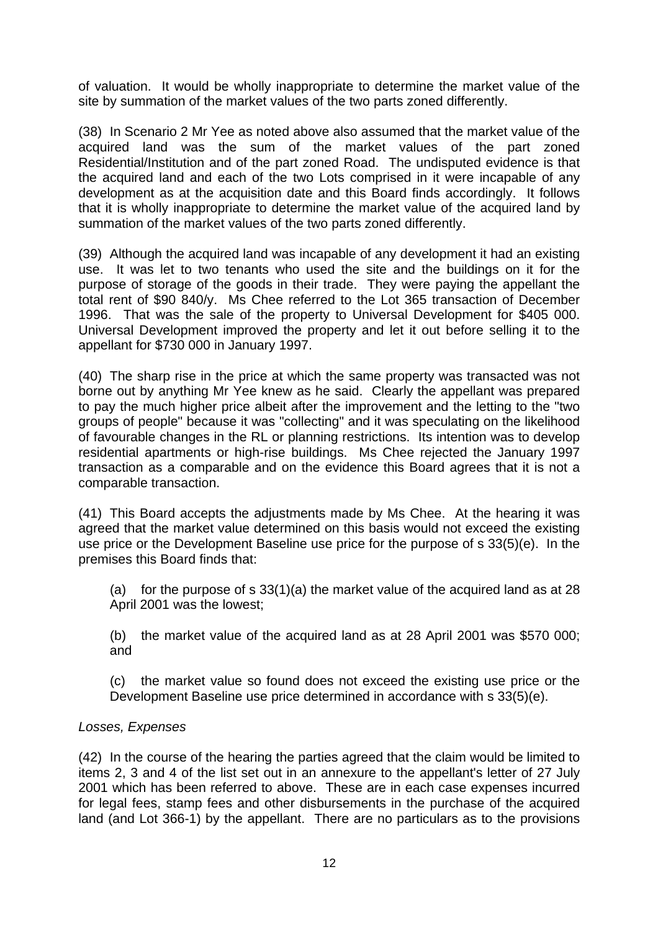of valuation. It would be wholly inappropriate to determine the market value of the site by summation of the market values of the two parts zoned differently.

(38) In Scenario 2 Mr Yee as noted above also assumed that the market value of the acquired land was the sum of the market values of the part zoned Residential/Institution and of the part zoned Road. The undisputed evidence is that the acquired land and each of the two Lots comprised in it were incapable of any development as at the acquisition date and this Board finds accordingly. It follows that it is wholly inappropriate to determine the market value of the acquired land by summation of the market values of the two parts zoned differently.

(39) Although the acquired land was incapable of any development it had an existing use. It was let to two tenants who used the site and the buildings on it for the purpose of storage of the goods in their trade. They were paying the appellant the total rent of \$90 840/y. Ms Chee referred to the Lot 365 transaction of December 1996. That was the sale of the property to Universal Development for \$405 000. Universal Development improved the property and let it out before selling it to the appellant for \$730 000 in January 1997.

(40) The sharp rise in the price at which the same property was transacted was not borne out by anything Mr Yee knew as he said. Clearly the appellant was prepared to pay the much higher price albeit after the improvement and the letting to the "two groups of people" because it was "collecting" and it was speculating on the likelihood of favourable changes in the RL or planning restrictions. Its intention was to develop residential apartments or high-rise buildings. Ms Chee rejected the January 1997 transaction as a comparable and on the evidence this Board agrees that it is not a comparable transaction.

(41) This Board accepts the adjustments made by Ms Chee. At the hearing it was agreed that the market value determined on this basis would not exceed the existing use price or the Development Baseline use price for the purpose of s 33(5)(e). In the premises this Board finds that:

(a) for the purpose of s  $33(1)(a)$  the market value of the acquired land as at 28 April 2001 was the lowest;

(b) the market value of the acquired land as at 28 April 2001 was \$570 000; and

(c) the market value so found does not exceed the existing use price or the Development Baseline use price determined in accordance with s 33(5)(e).

### *Losses, Expenses*

(42) In the course of the hearing the parties agreed that the claim would be limited to items 2, 3 and 4 of the list set out in an annexure to the appellant's letter of 27 July 2001 which has been referred to above. These are in each case expenses incurred for legal fees, stamp fees and other disbursements in the purchase of the acquired land (and Lot 366-1) by the appellant. There are no particulars as to the provisions